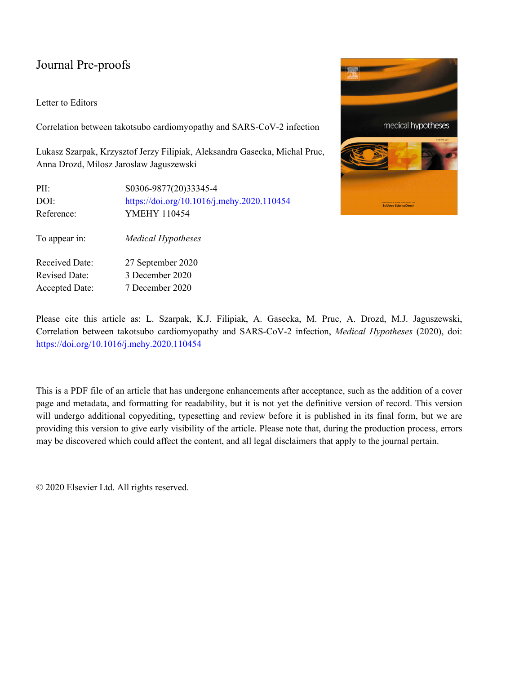# Journal Pre-proofs

## Letter to Editors

Correlation between takotsubo cardiomyopathy and SARS-CoV-2 infection

Lukasz Szarpak, Krzysztof Jerzy Filipiak, Aleksandra Gasecka, Michal Pruc, Anna Drozd, Milosz Jaroslaw Jaguszewski

| PII:<br>DOI:<br>Reference: | S0306-9877(20)33345-4<br>https://doi.org/10.1016/j.mehy.2020.110454<br><b>YMEHY 110454</b> |
|----------------------------|--------------------------------------------------------------------------------------------|
| To appear in:              | <b>Medical Hypotheses</b>                                                                  |
| <b>Received Date:</b>      | 27 September 2020                                                                          |
| <b>Revised Date:</b>       | 3 December 2020                                                                            |
| <b>Accepted Date:</b>      | 7 December 2020                                                                            |



Please cite this article as: L. Szarpak, K.J. Filipiak, A. Gasecka, M. Pruc, A. Drozd, M.J. Jaguszewski, Correlation between takotsubo cardiomyopathy and SARS-CoV-2 infection, *Medical Hypotheses* (2020), doi: <https://doi.org/10.1016/j.mehy.2020.110454>

This is a PDF file of an article that has undergone enhancements after acceptance, such as the addition of a cover page and metadata, and formatting for readability, but it is not yet the definitive version of record. This version will undergo additional copyediting, typesetting and review before it is published in its final form, but we are providing this version to give early visibility of the article. Please note that, during the production process, errors may be discovered which could affect the content, and all legal disclaimers that apply to the journal pertain.

© 2020 Elsevier Ltd. All rights reserved.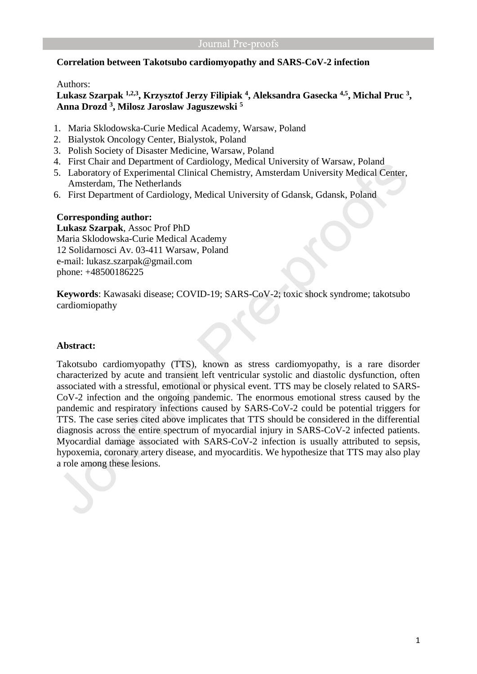# **Correlation between Takotsubo cardiomyopathy and SARS-CoV-2 infection**

## Authors:

# **Lukasz Szarpak 1,2,3, Krzysztof Jerzy Filipiak <sup>4</sup> , Aleksandra Gasecka 4,5 , Michal Pruc <sup>3</sup> , Anna Drozd <sup>3</sup> , Milosz Jaroslaw Jaguszewski <sup>5</sup>**

- 1. Maria Sklodowska-Curie Medical Academy, Warsaw, Poland
- 2. Bialystok Oncology Center, Bialystok, Poland
- 3. Polish Society of Disaster Medicine, Warsaw, Poland
- 4. First Chair and Department of Cardiology, Medical University of Warsaw, Poland
- 5. Laboratory of Experimental Clinical Chemistry, Amsterdam University Medical Center, Amsterdam, The Netherlands
- 6. First Department of Cardiology, Medical University of Gdansk, Gdansk, Poland

## **Corresponding author:**

**Lukasz Szarpak**, Assoc Prof PhD Maria Sklodowska-Curie Medical Academy 12 Solidarnosci Av. 03-411 Warsaw, Poland e-mail: lukasz.szarpak@gmail.com phone: +48500186225

**Keywords**: Kawasaki disease; COVID-19; SARS-CoV-2; toxic shock syndrome; takotsubo cardiomiopathy

### **Abstract:**

Takotsubo cardiomyopathy (TTS), known as stress cardiomyopathy, is a rare disorder characterized by acute and transient left ventricular systolic and diastolic dysfunction, often associated with a stressful, emotional or physical event. TTS may be closely related to SARS-CoV-2 infection and the ongoing pandemic. The enormous emotional stress caused by the pandemic and respiratory infections caused by SARS-CoV-2 could be potential triggers for TTS. The case series cited above implicates that TTS should be considered in the differential diagnosis across the entire spectrum of myocardial injury in SARS-CoV-2 infected patients. Myocardial damage associated with SARS-CoV-2 infection is usually attributed to sepsis, hypoxemia, coronary artery disease, and myocarditis. We hypothesize that TTS may also play a role among these lesions.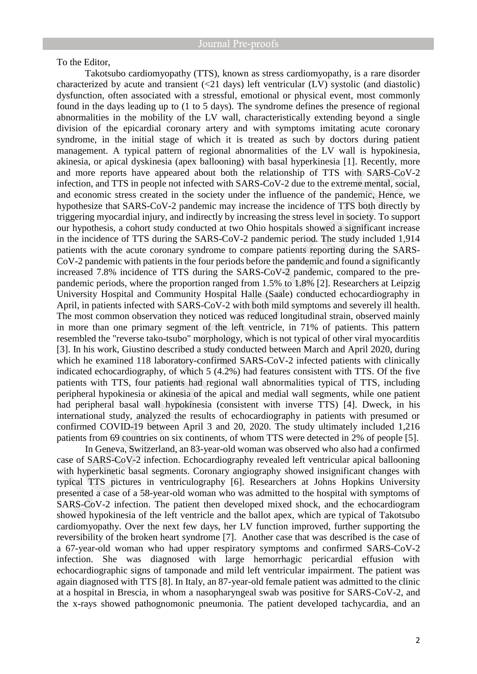To the Editor,

Takotsubo cardiomyopathy (TTS), known as stress cardiomyopathy, is a rare disorder characterized by acute and transient (<21 days) left ventricular (LV) systolic (and diastolic) dysfunction, often associated with a stressful, emotional or physical event, most commonly found in the days leading up to (1 to 5 days). The syndrome defines the presence of regional abnormalities in the mobility of the LV wall, characteristically extending beyond a single division of the epicardial coronary artery and with symptoms imitating acute coronary syndrome, in the initial stage of which it is treated as such by doctors during patient management. A typical pattern of regional abnormalities of the LV wall is hypokinesia, akinesia, or apical dyskinesia (apex ballooning) with basal hyperkinesia [1]. Recently, more and more reports have appeared about both the relationship of TTS with SARS-CoV-2 infection, and TTS in people not infected with SARS-CoV-2 due to the extreme mental, social, and economic stress created in the society under the influence of the pandemic, Hence, we hypothesize that SARS-CoV-2 pandemic may increase the incidence of TTS both directly by triggering myocardial injury, and indirectly by increasing the stress level in society. To support our hypothesis, a cohort study conducted at two Ohio hospitals showed a significant increase in the incidence of TTS during the SARS-CoV-2 pandemic period. The study included 1,914 patients with the acute coronary syndrome to compare patients reporting during the SARS-CoV-2 pandemic with patients in the four periods before the pandemic and found a significantly increased 7.8% incidence of TTS during the SARS-CoV-2 pandemic, compared to the prepandemic periods, where the proportion ranged from 1.5% to 1.8% [2]. Researchers at Leipzig University Hospital and Community Hospital Halle (Saale) conducted echocardiography in April, in patients infected with SARS-CoV-2 with both mild symptoms and severely ill health. The most common observation they noticed was reduced longitudinal strain, observed mainly in more than one primary segment of the left ventricle, in 71% of patients. This pattern resembled the "reverse tako-tsubo" morphology, which is not typical of other viral myocarditis [3]. In his work, Giustino described a study conducted between March and April 2020, during which he examined 118 laboratory-confirmed SARS-CoV-2 infected patients with clinically indicated echocardiography, of which 5 (4.2%) had features consistent with TTS. Of the five patients with TTS, four patients had regional wall abnormalities typical of TTS, including peripheral hypokinesia or akinesia of the apical and medial wall segments, while one patient had peripheral basal wall hypokinesia (consistent with inverse TTS) [4]. Dweck, in his international study, analyzed the results of echocardiography in patients with presumed or confirmed COVID-19 between April 3 and 20, 2020. The study ultimately included 1,216 patients from 69 countries on six continents, of whom TTS were detected in 2% of people [5].

In Geneva, Switzerland, an 83-year-old woman was observed who also had a confirmed case of SARS-CoV-2 infection. Echocardiography revealed left ventricular apical ballooning with hyperkinetic basal segments. Coronary angiography showed insignificant changes with typical TTS pictures in ventriculography [6]. Researchers at Johns Hopkins University presented a case of a 58-year-old woman who was admitted to the hospital with symptoms of SARS-CoV-2 infection. The patient then developed mixed shock, and the echocardiogram showed hypokinesia of the left ventricle and the ballot apex, which are typical of Takotsubo cardiomyopathy. Over the next few days, her LV function improved, further supporting the reversibility of the broken heart syndrome [7]. Another case that was described is the case of a 67-year-old woman who had upper respiratory symptoms and confirmed SARS-CoV-2 infection. She was diagnosed with large hemorrhagic pericardial effusion with echocardiographic signs of tamponade and mild left ventricular impairment. The patient was again diagnosed with TTS [8]. In Italy, an 87-year-old female patient was admitted to the clinic at a hospital in Brescia, in whom a nasopharyngeal swab was positive for SARS-CoV-2, and the x-rays showed pathognomonic pneumonia. The patient developed tachycardia, and an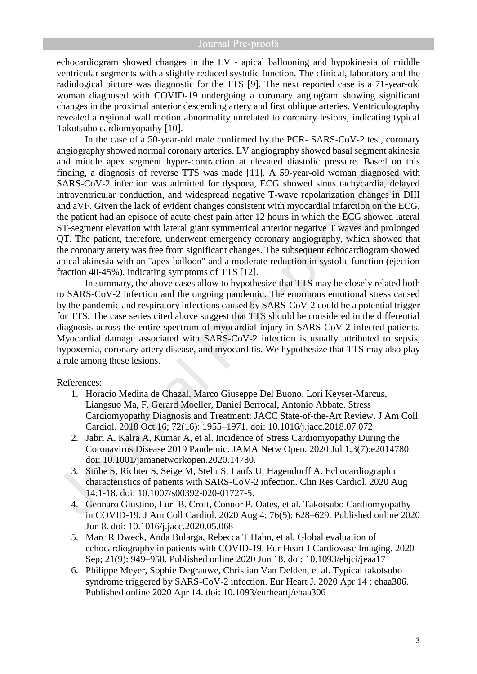echocardiogram showed changes in the LV - apical ballooning and hypokinesia of middle ventricular segments with a slightly reduced systolic function. The clinical, laboratory and the radiological picture was diagnostic for the TTS [9]. The next reported case is a 71-year-old woman diagnosed with COVID-19 undergoing a coronary angiogram showing significant changes in the proximal anterior descending artery and first oblique arteries. Ventriculography revealed a regional wall motion abnormality unrelated to coronary lesions, indicating typical Takotsubo cardiomyopathy [10].

In the case of a 50-year-old male confirmed by the PCR- SARS-CoV-2 test, coronary angiography showed normal coronary arteries. LV angiography showed basal segment akinesia and middle apex segment hyper-contraction at elevated diastolic pressure. Based on this finding, a diagnosis of reverse TTS was made [11]. A 59-year-old woman diagnosed with SARS-CoV-2 infection was admitted for dyspnea, ECG showed sinus tachycardia, delayed intraventricular conduction, and widespread negative T-wave repolarization changes in DIII and aVF. Given the lack of evident changes consistent with myocardial infarction on the ECG, the patient had an episode of acute chest pain after 12 hours in which the ECG showed lateral ST-segment elevation with lateral giant symmetrical anterior negative T waves and prolonged QT. The patient, therefore, underwent emergency coronary angiography, which showed that the coronary artery was free from significant changes. The subsequent echocardiogram showed apical akinesia with an "apex balloon" and a moderate reduction in systolic function (ejection fraction 40-45%), indicating symptoms of TTS [12].

In summary, the above cases allow to hypothesize that TTS may be closely related both to SARS-CoV-2 infection and the ongoing pandemic. The enormous emotional stress caused by the pandemic and respiratory infections caused by SARS-CoV-2 could be a potential trigger for TTS. The case series cited above suggest that TTS should be considered in the differential diagnosis across the entire spectrum of myocardial injury in SARS-CoV-2 infected patients. Myocardial damage associated with SARS-CoV-2 infection is usually attributed to sepsis, hypoxemia, coronary artery disease, and myocarditis. We hypothesize that TTS may also play a role among these lesions.

### References:

- 1. Horacio Medina de Chazal, Marco Giuseppe Del Buono, Lori Keyser-Marcus, Liangsuo Ma, F. Gerard Moeller, Daniel Berrocal, Antonio Abbate. Stress Cardiomyopathy Diagnosis and Treatment: JACC State-of-the-Art Review. J Am Coll Cardiol. 2018 Oct 16; 72(16): 1955–1971. doi: 10.1016/j.jacc.2018.07.072
- 2. Jabri A, Kalra A, Kumar A, et al. Incidence of Stress Cardiomyopathy During the Coronavirus Disease 2019 Pandemic. JAMA Netw Open. 2020 Jul 1;3(7):e2014780. doi: 10.1001/jamanetworkopen.2020.14780.
- 3. Stöbe S, Richter S, Seige M, Stehr S, Laufs U, Hagendorff A. Echocardiographic characteristics of patients with SARS-CoV-2 infection. Clin Res Cardiol. 2020 Aug 14:1-18. doi: 10.1007/s00392-020-01727-5.
- 4. Gennaro Giustino, Lori B. Croft, Connor P. Oates, et al. Takotsubo Cardiomyopathy in COVID-19. J Am Coll Cardiol. 2020 Aug 4; 76(5): 628–629. Published online 2020 Jun 8. doi: 10.1016/j.jacc.2020.05.068
- 5. Marc R Dweck, Anda Bularga, Rebecca T Hahn, et al. Global evaluation of echocardiography in patients with COVID-19. Eur Heart J Cardiovasc Imaging. 2020 Sep; 21(9): 949–958. Published online 2020 Jun 18. doi: 10.1093/ehjci/jeaa17
- 6. Philippe Meyer, Sophie Degrauwe, Christian Van Delden, et al. Typical takotsubo syndrome triggered by SARS-CoV-2 infection. Eur Heart J. 2020 Apr 14 : ehaa306. Published online 2020 Apr 14. doi: 10.1093/eurheartj/ehaa306